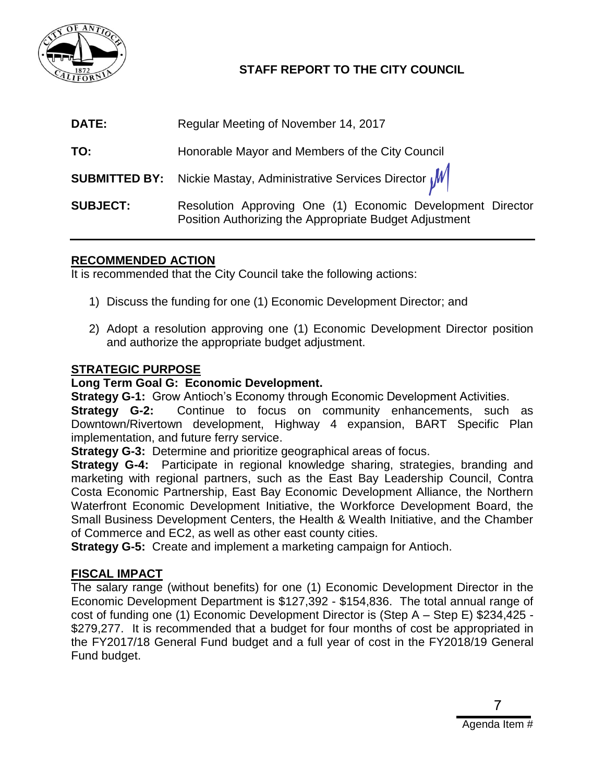

## **STAFF REPORT TO THE CITY COUNCIL**

| DATE:           | Regular Meeting of November 14, 2017                                                                                 |
|-----------------|----------------------------------------------------------------------------------------------------------------------|
| TO:             | Honorable Mayor and Members of the City Council                                                                      |
|                 | <b>SUBMITTED BY:</b> Nickie Mastay, Administrative Services Director $\sqrt{M}$                                      |
| <b>SUBJECT:</b> | Resolution Approving One (1) Economic Development Director<br>Position Authorizing the Appropriate Budget Adjustment |

### **RECOMMENDED ACTION**

It is recommended that the City Council take the following actions:

- 1) Discuss the funding for one (1) Economic Development Director; and
- 2) Adopt a resolution approving one (1) Economic Development Director position and authorize the appropriate budget adjustment.

### **STRATEGIC PURPOSE**

### **Long Term Goal G: Economic Development.**

**Strategy G-1:** Grow Antioch's Economy through Economic Development Activities.

**Strategy G-2:** Continue to focus on community enhancements, such as Downtown/Rivertown development, Highway 4 expansion, BART Specific Plan implementation, and future ferry service.

**Strategy G-3:** Determine and prioritize geographical areas of focus.

**Strategy G-4:** Participate in regional knowledge sharing, strategies, branding and marketing with regional partners, such as the East Bay Leadership Council, Contra Costa Economic Partnership, East Bay Economic Development Alliance, the Northern Waterfront Economic Development Initiative, the Workforce Development Board, the Small Business Development Centers, the Health & Wealth Initiative, and the Chamber of Commerce and EC2, as well as other east county cities.

**Strategy G-5:** Create and implement a marketing campaign for Antioch.

### **FISCAL IMPACT**

The salary range (without benefits) for one (1) Economic Development Director in the Economic Development Department is \$127,392 - \$154,836. The total annual range of cost of funding one (1) Economic Development Director is (Step A – Step E) \$234,425 - \$279,277. It is recommended that a budget for four months of cost be appropriated in the FY2017/18 General Fund budget and a full year of cost in the FY2018/19 General Fund budget.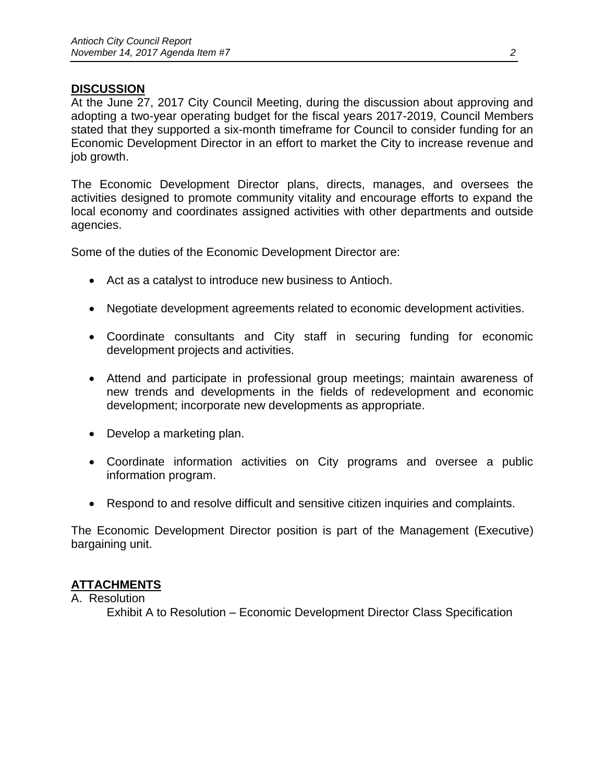### **DISCUSSION**

At the June 27, 2017 City Council Meeting, during the discussion about approving and adopting a two-year operating budget for the fiscal years 2017-2019, Council Members stated that they supported a six-month timeframe for Council to consider funding for an Economic Development Director in an effort to market the City to increase revenue and job growth.

The Economic Development Director plans, directs, manages, and oversees the activities designed to promote community vitality and encourage efforts to expand the local economy and coordinates assigned activities with other departments and outside agencies.

Some of the duties of the Economic Development Director are:

- Act as a catalyst to introduce new business to Antioch.
- Negotiate development agreements related to economic development activities.
- Coordinate consultants and City staff in securing funding for economic development projects and activities.
- Attend and participate in professional group meetings; maintain awareness of new trends and developments in the fields of redevelopment and economic development; incorporate new developments as appropriate.
- Develop a marketing plan.
- Coordinate information activities on City programs and oversee a public information program.
- Respond to and resolve difficult and sensitive citizen inquiries and complaints.

The Economic Development Director position is part of the Management (Executive) bargaining unit.

### **ATTACHMENTS**

A. Resolution

Exhibit A to Resolution – Economic Development Director Class Specification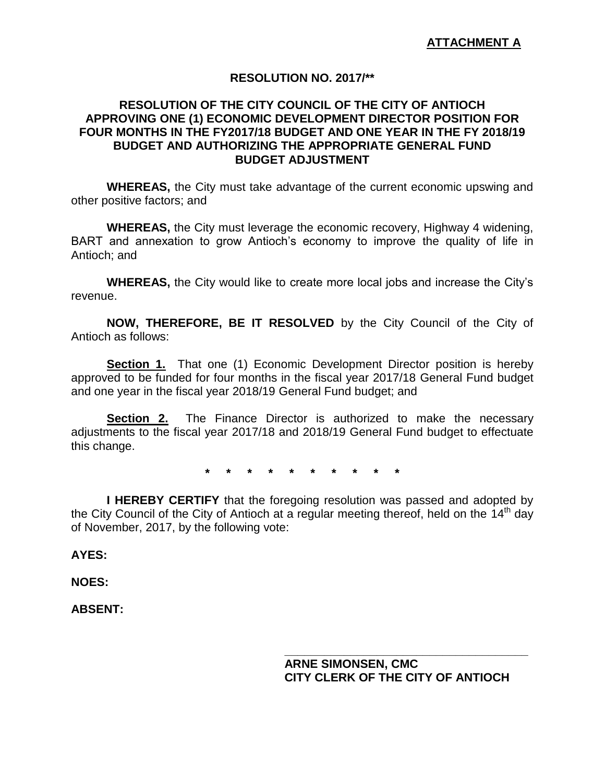### **RESOLUTION NO. 2017/\*\***

### **RESOLUTION OF THE CITY COUNCIL OF THE CITY OF ANTIOCH APPROVING ONE (1) ECONOMIC DEVELOPMENT DIRECTOR POSITION FOR FOUR MONTHS IN THE FY2017/18 BUDGET AND ONE YEAR IN THE FY 2018/19 BUDGET AND AUTHORIZING THE APPROPRIATE GENERAL FUND BUDGET ADJUSTMENT**

**WHEREAS,** the City must take advantage of the current economic upswing and other positive factors; and

**WHEREAS,** the City must leverage the economic recovery, Highway 4 widening, BART and annexation to grow Antioch's economy to improve the quality of life in Antioch; and

**WHEREAS,** the City would like to create more local jobs and increase the City's revenue.

**NOW, THEREFORE, BE IT RESOLVED** by the City Council of the City of Antioch as follows:

**Section 1.** That one (1) Economic Development Director position is hereby approved to be funded for four months in the fiscal year 2017/18 General Fund budget and one year in the fiscal year 2018/19 General Fund budget; and

**Section 2.** The Finance Director is authorized to make the necessary adjustments to the fiscal year 2017/18 and 2018/19 General Fund budget to effectuate this change.

**\* \* \* \* \* \* \* \* \* \***

**I HEREBY CERTIFY** that the foregoing resolution was passed and adopted by the City Council of the City of Antioch at a regular meeting thereof, held on the 14<sup>th</sup> day of November, 2017, by the following vote:

#### **AYES:**

### **NOES:**

**ABSENT:** 

**ARNE SIMONSEN, CMC CITY CLERK OF THE CITY OF ANTIOCH**

**\_\_\_\_\_\_\_\_\_\_\_\_\_\_\_\_\_\_\_\_\_\_\_\_\_\_\_\_\_\_\_\_\_\_\_\_\_**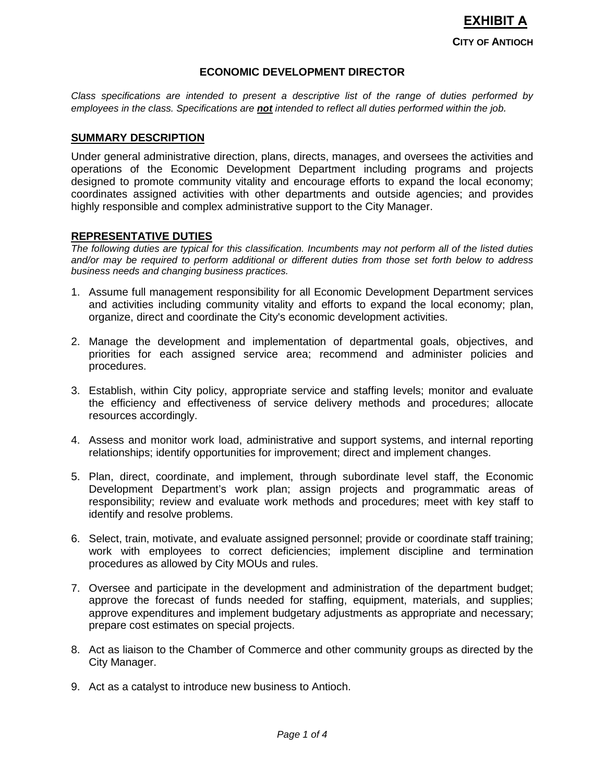# **CITY OF ANTIOCH EXHIBIT A**

#### **ECONOMIC DEVELOPMENT DIRECTOR**

*Class specifications are intended to present a descriptive list of the range of duties performed by employees in the class. Specifications are not intended to reflect all duties performed within the job.* 

#### **SUMMARY DESCRIPTION**

Under general administrative direction, plans, directs, manages, and oversees the activities and operations of the Economic Development Department including programs and projects designed to promote community vitality and encourage efforts to expand the local economy; coordinates assigned activities with other departments and outside agencies; and provides highly responsible and complex administrative support to the City Manager.

#### **REPRESENTATIVE DUTIES**

*The following duties are typical for this classification. Incumbents may not perform all of the listed duties and/or may be required to perform additional or different duties from those set forth below to address business needs and changing business practices.*

- 1. Assume full management responsibility for all Economic Development Department services and activities including community vitality and efforts to expand the local economy; plan, organize, direct and coordinate the City's economic development activities.
- 2. Manage the development and implementation of departmental goals, objectives, and priorities for each assigned service area; recommend and administer policies and procedures.
- 3. Establish, within City policy, appropriate service and staffing levels; monitor and evaluate the efficiency and effectiveness of service delivery methods and procedures; allocate resources accordingly.
- 4. Assess and monitor work load, administrative and support systems, and internal reporting relationships; identify opportunities for improvement; direct and implement changes.
- 5. Plan, direct, coordinate, and implement, through subordinate level staff, the Economic Development Department's work plan; assign projects and programmatic areas of responsibility; review and evaluate work methods and procedures; meet with key staff to identify and resolve problems.
- 6. Select, train, motivate, and evaluate assigned personnel; provide or coordinate staff training; work with employees to correct deficiencies; implement discipline and termination procedures as allowed by City MOUs and rules.
- 7. Oversee and participate in the development and administration of the department budget; approve the forecast of funds needed for staffing, equipment, materials, and supplies; approve expenditures and implement budgetary adjustments as appropriate and necessary; prepare cost estimates on special projects.
- 8. Act as liaison to the Chamber of Commerce and other community groups as directed by the City Manager.
- 9. Act as a catalyst to introduce new business to Antioch.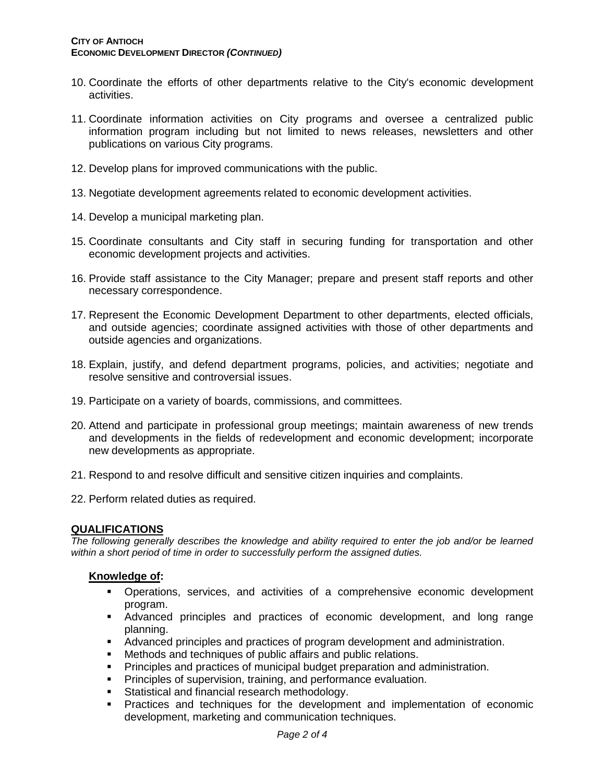- 10. Coordinate the efforts of other departments relative to the City's economic development activities.
- 11. Coordinate information activities on City programs and oversee a centralized public information program including but not limited to news releases, newsletters and other publications on various City programs.
- 12. Develop plans for improved communications with the public.
- 13. Negotiate development agreements related to economic development activities.
- 14. Develop a municipal marketing plan.
- 15. Coordinate consultants and City staff in securing funding for transportation and other economic development projects and activities.
- 16. Provide staff assistance to the City Manager; prepare and present staff reports and other necessary correspondence.
- 17. Represent the Economic Development Department to other departments, elected officials, and outside agencies; coordinate assigned activities with those of other departments and outside agencies and organizations.
- 18. Explain, justify, and defend department programs, policies, and activities; negotiate and resolve sensitive and controversial issues.
- 19. Participate on a variety of boards, commissions, and committees.
- 20. Attend and participate in professional group meetings; maintain awareness of new trends and developments in the fields of redevelopment and economic development; incorporate new developments as appropriate.
- 21. Respond to and resolve difficult and sensitive citizen inquiries and complaints.
- 22. Perform related duties as required.

#### **QUALIFICATIONS**

*The following generally describes the knowledge and ability required to enter the job and/or be learned within a short period of time in order to successfully perform the assigned duties.*

#### **Knowledge of:**

- Operations, services, and activities of a comprehensive economic development program.
- Advanced principles and practices of economic development, and long range planning.
- Advanced principles and practices of program development and administration.
- Methods and techniques of public affairs and public relations.
- Principles and practices of municipal budget preparation and administration.
- **Principles of supervision, training, and performance evaluation.**
- **Statistical and financial research methodology.**
- Practices and techniques for the development and implementation of economic development, marketing and communication techniques.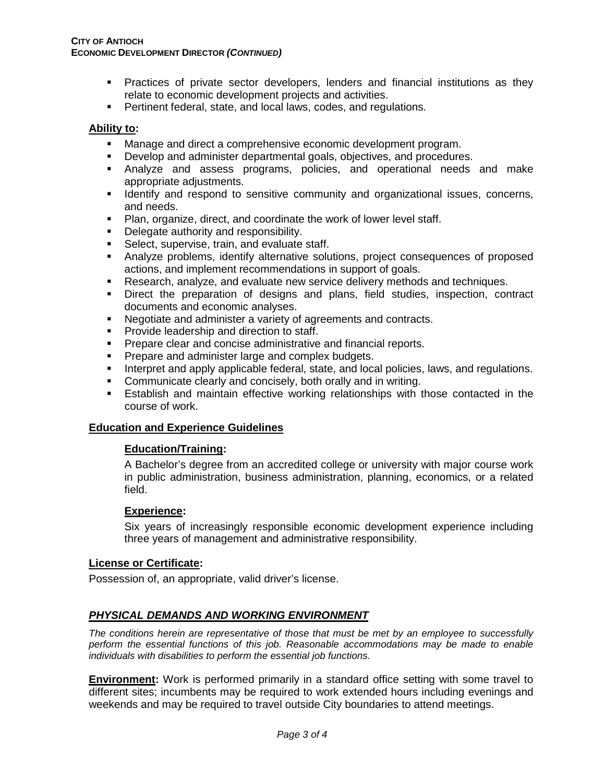- Practices of private sector developers, lenders and financial institutions as they relate to economic development projects and activities.
- **Pertinent federal, state, and local laws, codes, and regulations.**

#### **Ability to:**

- **Manage and direct a comprehensive economic development program.**
- Develop and administer departmental goals, objectives, and procedures.
- Analyze and assess programs, policies, and operational needs and make appropriate adjustments.
- **IDENTIFY and respond to sensitive community and organizational issues, concerns,** and needs.
- Plan, organize, direct, and coordinate the work of lower level staff.
- **Delegate authority and responsibility.**
- **Select, supervise, train, and evaluate staff.**
- Analyze problems, identify alternative solutions, project consequences of proposed actions, and implement recommendations in support of goals.
- **Research, analyze, and evaluate new service delivery methods and techniques.**
- Direct the preparation of designs and plans, field studies, inspection, contract documents and economic analyses.
- Negotiate and administer a variety of agreements and contracts.
- **Provide leadership and direction to staff.**
- **Prepare clear and concise administrative and financial reports.**
- **Prepare and administer large and complex budgets.**
- **Interpret and apply applicable federal, state, and local policies, laws, and regulations.**
- **Communicate clearly and concisely, both orally and in writing.**
- Establish and maintain effective working relationships with those contacted in the course of work.

#### **Education and Experience Guidelines**

#### **Education/Training:**

A Bachelor's degree from an accredited college or university with major course work in public administration, business administration, planning, economics, or a related field.

#### **Experience:**

Six years of increasingly responsible economic development experience including three years of management and administrative responsibility.

#### **License or Certificate:**

Possession of, an appropriate, valid driver's license.

### *PHYSICAL DEMANDS AND WORKING ENVIRONMENT*

*The conditions herein are representative of those that must be met by an employee to successfully perform the essential functions of this job. Reasonable accommodations may be made to enable individuals with disabilities to perform the essential job functions.*

**Environment:** Work is performed primarily in a standard office setting with some travel to different sites; incumbents may be required to work extended hours including evenings and weekends and may be required to travel outside City boundaries to attend meetings.